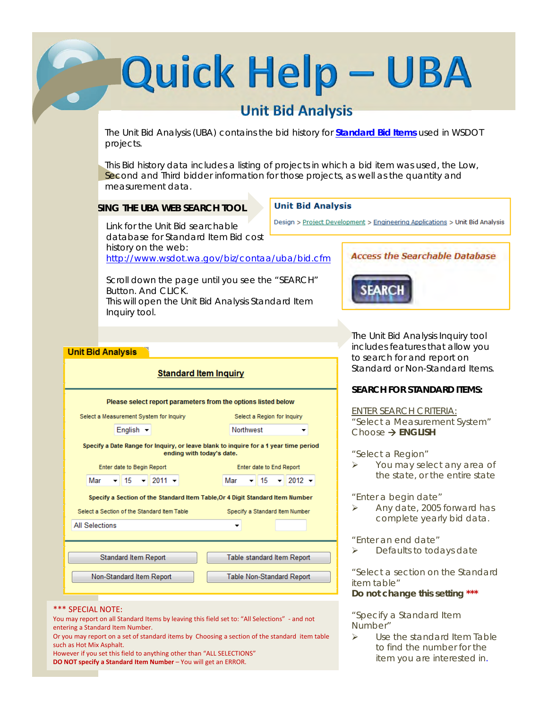# Quick Help - UBA

# **Unit Bid Analysis**

The Unit Bid Analysis (UBA) contains the bid history for **Standard Bid Items** used in WSDOT projects.

 This Bid history data includes a listing of projects in which a bid item was used, the Low, Second and Third bidder information for those projects, as well as the quantity and measurement data.

#### **SING THE UBA WEB SEARCH TOOL**

#### **Unit Bid Analysis**

Link for the Unit Bid searchable database for Standard Item Bid cost history on the web: http://www.wsdot.wa.gov/biz/contaa/uba/bid.cfm

 This will open the Unit Bid Analysis Standard Item Scroll down the page until you see the "SEARCH" Button. And CLICK. Inquiry tool.

#### **Unit Bid Analysis**

| <b>Standard Item Inquiry</b>                                                                                      |  |  |  |  |  |  |  |  |  |
|-------------------------------------------------------------------------------------------------------------------|--|--|--|--|--|--|--|--|--|
| Please select report parameters from the options listed below                                                     |  |  |  |  |  |  |  |  |  |
| Select a Measurement System for Inquiry<br>Select a Region for Inquiry                                            |  |  |  |  |  |  |  |  |  |
| English $\blacktriangleright$<br><b>Northwest</b>                                                                 |  |  |  |  |  |  |  |  |  |
| Specify a Date Range for Inquiry, or leave blank to inquire for a 1 year time period<br>ending with today's date. |  |  |  |  |  |  |  |  |  |
| Enter date to Begin Report<br>Enter date to End Report                                                            |  |  |  |  |  |  |  |  |  |
| $2011 -$<br>$2012 -$<br>15<br>Mar<br>Mar<br>15                                                                    |  |  |  |  |  |  |  |  |  |
| Specify a Section of the Standard Item Table, Or 4 Digit Standard Item Number                                     |  |  |  |  |  |  |  |  |  |
| Select a Section of the Standard Item Table<br>Specify a Standard Item Number                                     |  |  |  |  |  |  |  |  |  |
| <b>All Selections</b>                                                                                             |  |  |  |  |  |  |  |  |  |
|                                                                                                                   |  |  |  |  |  |  |  |  |  |
| <b>Standard Item Report</b><br>Table standard Item Report                                                         |  |  |  |  |  |  |  |  |  |
| Non-Standard Item Report<br><b>Table Non-Standard Report</b>                                                      |  |  |  |  |  |  |  |  |  |
|                                                                                                                   |  |  |  |  |  |  |  |  |  |

#### \*\*\* SPECIAL NOTE:

You may report on all Standard Items by leaving this field set to: "All Selections" - and not entering a Standard Item Number.

Or you may report on a set of standard items by Choosing a section of the standard item table such as Hot Mix Asphalt.

However if you set this field to anything other than "ALL SELECTIONS" **DO NOT specify a Standard Item Number** – You will get an ERROR.

### **Access the Searchable Database**



Design > Project Development > Engineering Applications > Unit Bid Analysis

**The Unit Bid Analysis Inquiry tool** includes features that allow you to search for and report on Standard or Non-Standard Items.

#### **SEARCH FOR STANDARD ITEMS:**

ENTER SEARCH CRITERIA: "Select a Measurement System" Choose  $\rightarrow$  **ENGLISH** 

"Select a Region"

You may select any area of the state, or the entire state

"Enter a begin date"

 Any date, 2005 forward has complete yearly bid data.

"Enter an end date"

 $\triangleright$  Defaults to todays date

"Select a section on the Standard item table"

#### **Do not change this setting \*\*\***

"Specify a Standard Item Number"

 $\triangleright$  Use the standard Item Table to find the number for the item you are interested in.